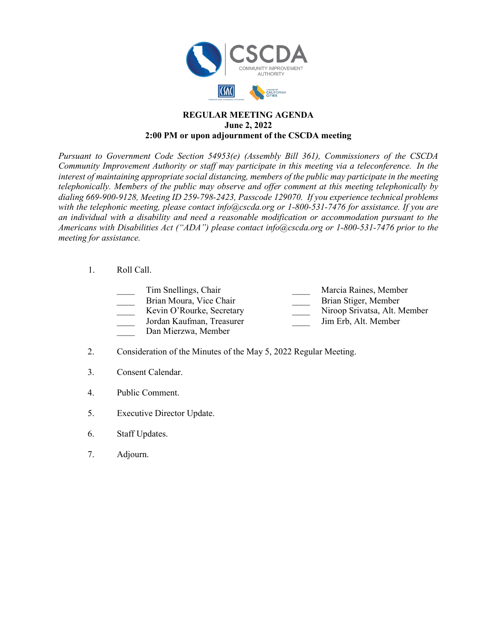

## **REGULAR MEETING AGENDA June 2, 2022 2:00 PM or upon adjournment of the CSCDA meeting**

*Pursuant to Government Code Section 54953(e) (Assembly Bill 361), Commissioners of the CSCDA Community Improvement Authority or staff may participate in this meeting via a teleconference. In the interest of maintaining appropriate social distancing, members of the public may participate in the meeting telephonically. Members of the public may observe and offer comment at this meeting telephonically by dialing 669-900-9128, Meeting ID 259-798-2423, Passcode 129070. If you experience technical problems with the telephonic meeting, please contact info@cscda.org or 1-800-531-7476 for assistance. If you are an individual with a disability and need a reasonable modification or accommodation pursuant to the Americans with Disabilities Act ("ADA") please contact info@cscda.org or 1-800-531-7476 prior to the meeting for assistance.*

## 1. Roll Call.

Tim Snellings, Chair **Marcia Raines, Member** Marcia Raines, Member Brian Moura, Vice Chair **Brian Stiger**, Member

Kevin O'Rourke, Secretary Niroop Srivatsa, Alt. Member

\_\_\_\_ Jordan Kaufman, Treasurer \_\_\_\_ Jim Erb, Alt. Member

- Dan Mierzwa, Member
- 2. Consideration of the Minutes of the May 5, 2022 Regular Meeting.
- 3. Consent Calendar.
- 4. Public Comment.
- 5. Executive Director Update.
- 6. Staff Updates.
- 7. Adjourn.